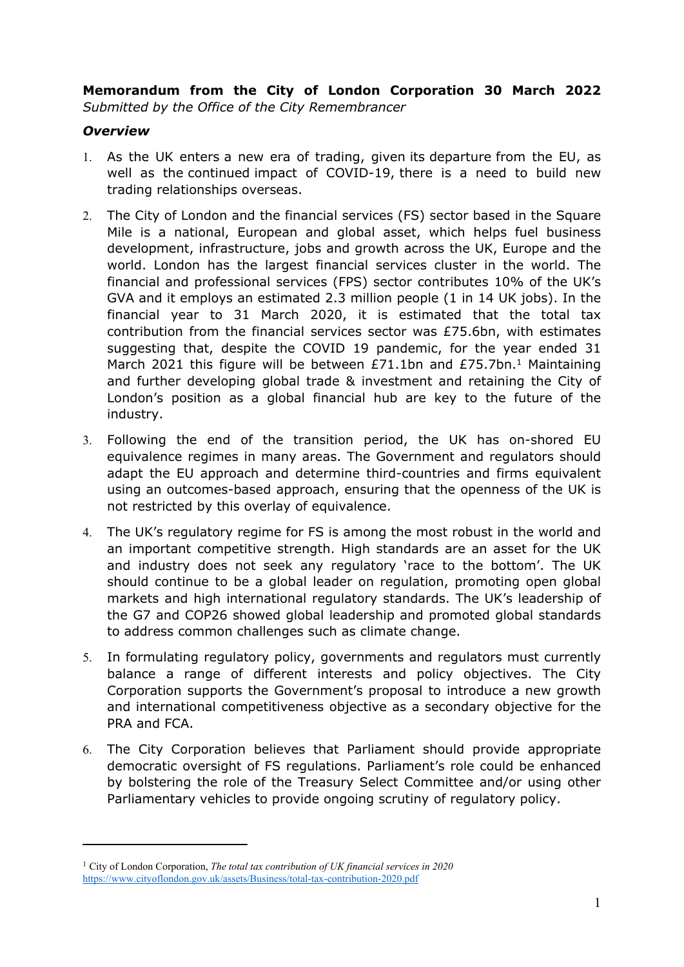**Memorandum from the City of London Corporation 30 March 2022** *Submitted by the Office of the City Remembrancer*

### *Overview*

- 1. As the UK enters a new era of trading, given its departure from the EU, as well as the continued impact of COVID-19, there is a need to build new trading relationships overseas.
- 2. The City of London and the financial services (FS) sector based in the Square Mile is a national, European and global asset, which helps fuel business development, infrastructure, jobs and growth across the UK, Europe and the world. London has the largest financial services cluster in the world. The financial and professional services (FPS) sector contributes 10% of the UK's GVA and it employs an estimated 2.3 million people (1 in 14 UK jobs). In the financial year to 31 March 2020, it is estimated that the total tax contribution from the financial services sector was £75.6bn, with estimates suggesting that, despite the COVID 19 pandemic, for the year ended 31 March 2021 this figure will be between £71.1bn and £75.7bn.<sup>1</sup> Maintaining and further developing global trade & investment and retaining the City of London's position as a global financial hub are key to the future of the industry.
- 3. Following the end of the transition period, the UK has on-shored EU equivalence regimes in many areas. The Government and regulators should adapt the EU approach and determine third-countries and firms equivalent using an outcomes-based approach, ensuring that the openness of the UK is not restricted by this overlay of equivalence.
- 4. The UK's regulatory regime for FS is among the most robust in the world and an important competitive strength. High standards are an asset for the UK and industry does not seek any regulatory 'race to the bottom'. The UK should continue to be a global leader on regulation, promoting open global markets and high international regulatory standards. The UK's leadership of the G7 and COP26 showed global leadership and promoted global standards to address common challenges such as climate change.
- 5. In formulating regulatory policy, governments and regulators must currently balance a range of different interests and policy objectives. The City Corporation supports the Government's proposal to introduce a new growth and international competitiveness objective as a secondary objective for the PRA and FCA.
- 6. The City Corporation believes that Parliament should provide appropriate democratic oversight of FS regulations. Parliament's role could be enhanced by bolstering the role of the Treasury Select Committee and/or using other Parliamentary vehicles to provide ongoing scrutiny of regulatory policy.

<sup>1</sup> City of London Corporation, *The total tax contribution of UK financial services in 2020* <https://www.cityoflondon.gov.uk/assets/Business/total-tax-contribution-2020.pdf>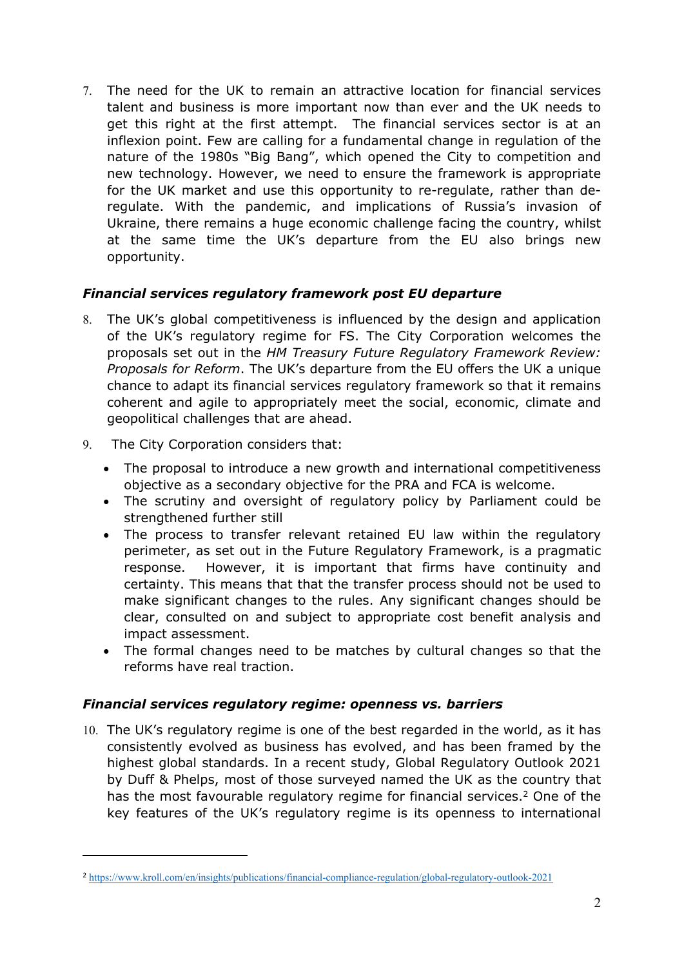7. The need for the UK to remain an attractive location for financial services talent and business is more important now than ever and the UK needs to get this right at the first attempt. The financial services sector is at an inflexion point. Few are calling for a fundamental change in regulation of the nature of the 1980s "Big Bang", which opened the City to competition and new technology. However, we need to ensure the framework is appropriate for the UK market and use this opportunity to re-regulate, rather than deregulate. With the pandemic, and implications of Russia's invasion of Ukraine, there remains a huge economic challenge facing the country, whilst at the same time the UK's departure from the EU also brings new opportunity.

# *Financial services regulatory framework post EU departure*

- 8. The UK's global competitiveness is influenced by the design and application of the UK's regulatory regime for FS. The City Corporation welcomes the proposals set out in the *HM Treasury Future Regulatory Framework Review: Proposals for Reform*. The UK's departure from the EU offers the UK a unique chance to adapt its financial services regulatory framework so that it remains coherent and agile to appropriately meet the social, economic, climate and geopolitical challenges that are ahead.
- 9. The City Corporation considers that:
	- The proposal to introduce a new growth and international competitiveness objective as a secondary objective for the PRA and FCA is welcome.
	- The scrutiny and oversight of regulatory policy by Parliament could be strengthened further still
	- The process to transfer relevant retained EU law within the regulatory perimeter, as set out in the Future Regulatory Framework, is a pragmatic response. However, it is important that firms have continuity and certainty. This means that that the transfer process should not be used to make significant changes to the rules. Any significant changes should be clear, consulted on and subject to appropriate cost benefit analysis and impact assessment.
	- The formal changes need to be matches by cultural changes so that the reforms have real traction.

# *Financial services regulatory regime: openness vs. barriers*

10. The UK's regulatory regime is one of the best regarded in the world, as it has consistently evolved as business has evolved, and has been framed by the highest global standards. In a recent study, Global Regulatory Outlook 2021 by Duff & Phelps, most of those surveyed named the UK as the country that has the most favourable regulatory regime for financial services.<sup>2</sup> One of the key features of the UK's regulatory regime is its openness to international

<sup>2</sup> <https://www.kroll.com/en/insights/publications/financial-compliance-regulation/global-regulatory-outlook-2021>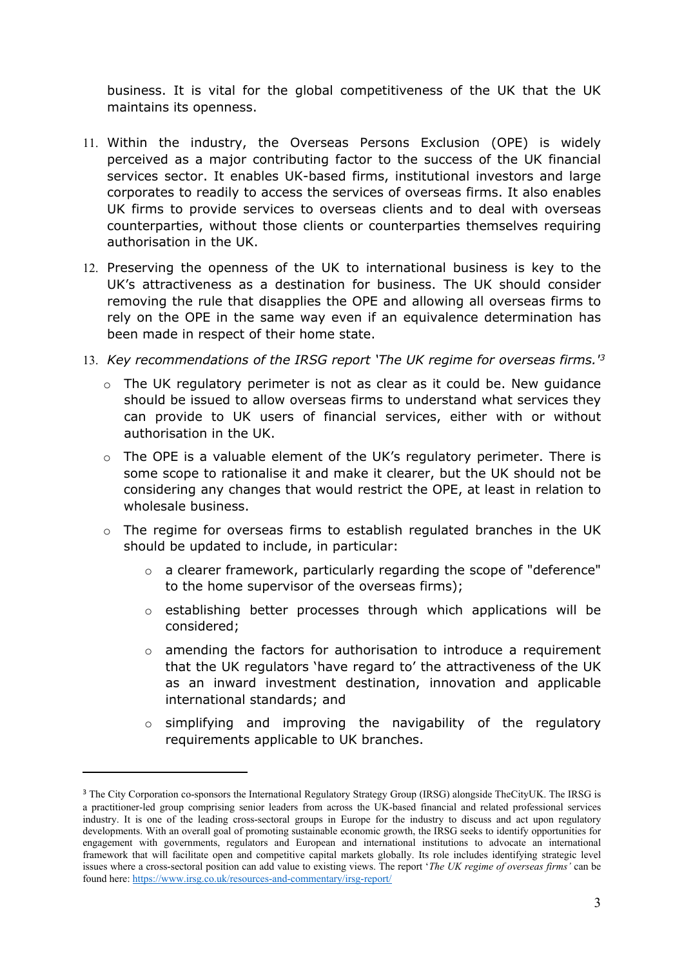business. It is vital for the global competitiveness of the UK that the UK maintains its openness.

- 11. Within the industry, the Overseas Persons Exclusion (OPE) is widely perceived as a major contributing factor to the success of the UK financial services sector. It enables UK-based firms, institutional investors and large corporates to readily to access the services of overseas firms. It also enables UK firms to provide services to overseas clients and to deal with overseas counterparties, without those clients or counterparties themselves requiring authorisation in the UK.
- 12. Preserving the openness of the UK to international business is key to the UK's attractiveness as a destination for business. The UK should consider removing the rule that disapplies the OPE and allowing all overseas firms to rely on the OPE in the same way even if an equivalence determination has been made in respect of their home state.
- 13. *Key recommendations of the IRSG report 'The UK regime for overseas firms.'<sup>3</sup>*
	- $\circ$  The UK regulatory perimeter is not as clear as it could be. New guidance should be issued to allow overseas firms to understand what services they can provide to UK users of financial services, either with or without authorisation in the UK.
	- o The OPE is a valuable element of the UK's regulatory perimeter. There is some scope to rationalise it and make it clearer, but the UK should not be considering any changes that would restrict the OPE, at least in relation to wholesale business.
	- o The regime for overseas firms to establish regulated branches in the UK should be updated to include, in particular:
		- o a clearer framework, particularly regarding the scope of "deference" to the home supervisor of the overseas firms);
		- o establishing better processes through which applications will be considered;
		- $\circ$  amending the factors for authorisation to introduce a requirement that the UK regulators 'have regard to' the attractiveness of the UK as an inward investment destination, innovation and applicable international standards; and
		- o simplifying and improving the navigability of the regulatory requirements applicable to UK branches.

<sup>&</sup>lt;sup>3</sup> The City Corporation co-sponsors the International Regulatory Strategy Group (IRSG) alongside TheCityUK. The IRSG is a practitioner-led group comprising senior leaders from across the UK-based financial and related professional services industry. It is one of the leading cross-sectoral groups in Europe for the industry to discuss and act upon regulatory developments. With an overall goal of promoting sustainable economic growth, the IRSG seeks to identify opportunities for engagement with governments, regulators and European and international institutions to advocate an international framework that will facilitate open and competitive capital markets globally. Its role includes identifying strategic level issues where a cross-sectoral position can add value to existing views. The report '*The UK regime of overseas firms'* can be found here: <https://www.irsg.co.uk/resources-and-commentary/irsg-report/>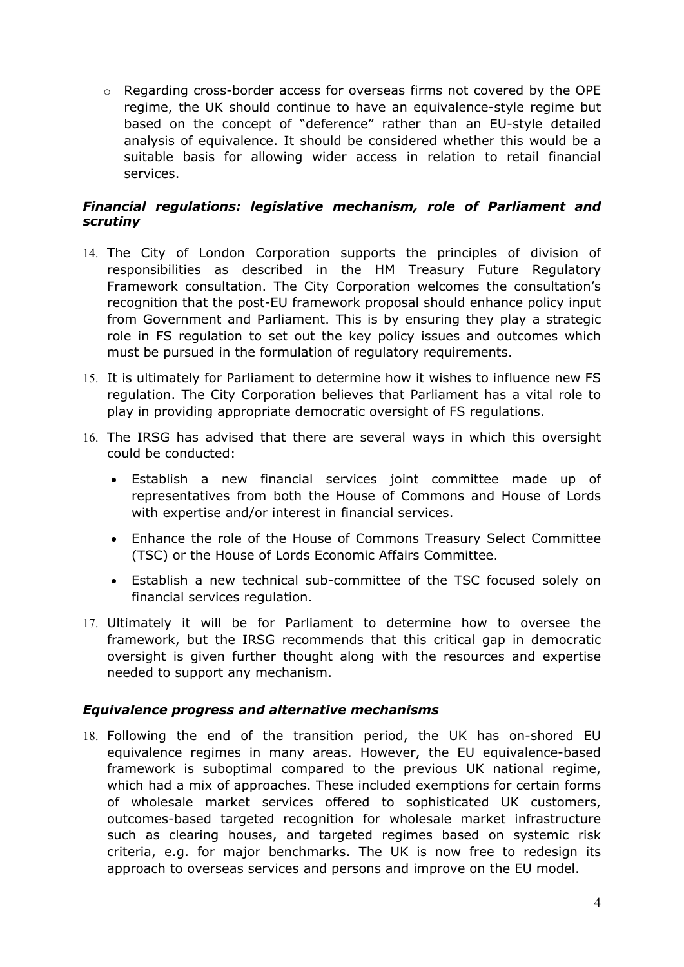o Regarding cross-border access for overseas firms not covered by the OPE regime, the UK should continue to have an equivalence-style regime but based on the concept of "deference" rather than an EU-style detailed analysis of equivalence. It should be considered whether this would be a suitable basis for allowing wider access in relation to retail financial services.

## *Financial regulations: legislative mechanism, role of Parliament and scrutiny*

- 14. The City of London Corporation supports the principles of division of responsibilities as described in the HM Treasury Future Regulatory Framework consultation. The City Corporation welcomes the consultation's recognition that the post-EU framework proposal should enhance policy input from Government and Parliament. This is by ensuring they play a strategic role in FS regulation to set out the key policy issues and outcomes which must be pursued in the formulation of regulatory requirements.
- 15. It is ultimately for Parliament to determine how it wishes to influence new FS regulation. The City Corporation believes that Parliament has a vital role to play in providing appropriate democratic oversight of FS regulations.
- 16. The IRSG has advised that there are several ways in which this oversight could be conducted:
	- Establish a new financial services joint committee made up of representatives from both the House of Commons and House of Lords with expertise and/or interest in financial services.
	- Enhance the role of the House of Commons Treasury Select Committee (TSC) or the House of Lords Economic Affairs Committee.
	- Establish a new technical sub-committee of the TSC focused solely on financial services regulation.
- 17. Ultimately it will be for Parliament to determine how to oversee the framework, but the IRSG recommends that this critical gap in democratic oversight is given further thought along with the resources and expertise needed to support any mechanism.

### *Equivalence progress and alternative mechanisms*

18. Following the end of the transition period, the UK has on-shored EU equivalence regimes in many areas. However, the EU equivalence-based framework is suboptimal compared to the previous UK national regime, which had a mix of approaches. These included exemptions for certain forms of wholesale market services offered to sophisticated UK customers, outcomes-based targeted recognition for wholesale market infrastructure such as clearing houses, and targeted regimes based on systemic risk criteria, e.g. for major benchmarks. The UK is now free to redesign its approach to overseas services and persons and improve on the EU model.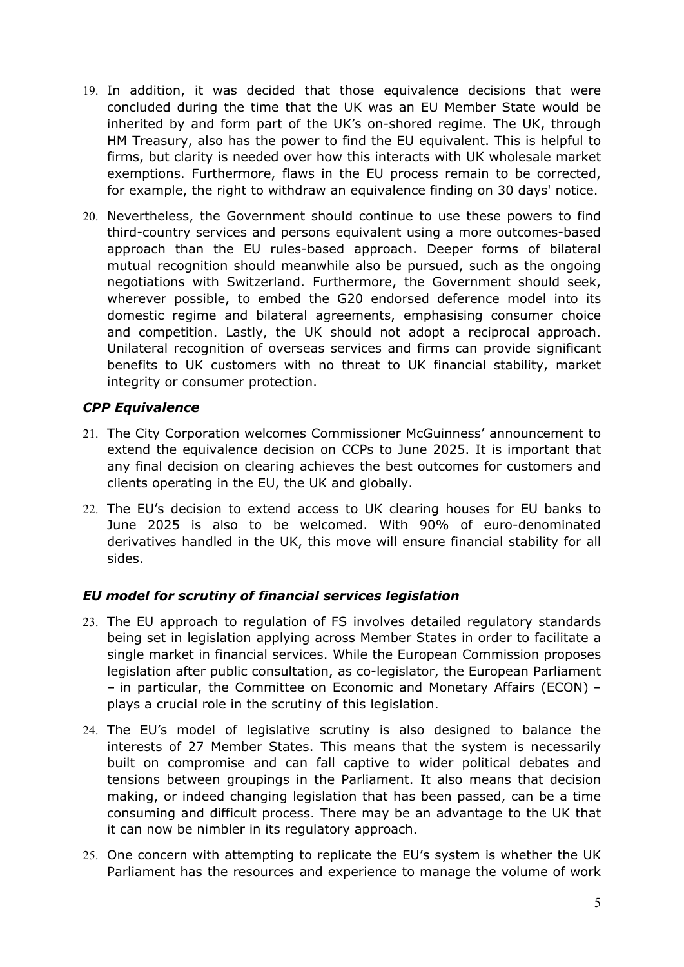- 19. In addition, it was decided that those equivalence decisions that were concluded during the time that the UK was an EU Member State would be inherited by and form part of the UK's on-shored regime. The UK, through HM Treasury, also has the power to find the EU equivalent. This is helpful to firms, but clarity is needed over how this interacts with UK wholesale market exemptions. Furthermore, flaws in the EU process remain to be corrected, for example, the right to withdraw an equivalence finding on 30 days' notice.
- 20. Nevertheless, the Government should continue to use these powers to find third-country services and persons equivalent using a more outcomes-based approach than the EU rules-based approach. Deeper forms of bilateral mutual recognition should meanwhile also be pursued, such as the ongoing negotiations with Switzerland. Furthermore, the Government should seek, wherever possible, to embed the G20 endorsed deference model into its domestic regime and bilateral agreements, emphasising consumer choice and competition. Lastly, the UK should not adopt a reciprocal approach. Unilateral recognition of overseas services and firms can provide significant benefits to UK customers with no threat to UK financial stability, market integrity or consumer protection.

## *CPP Equivalence*

- 21. The City Corporation welcomes Commissioner McGuinness' announcement to extend the equivalence decision on CCPs to June 2025. It is important that any final decision on clearing achieves the best outcomes for customers and clients operating in the EU, the UK and globally.
- 22. The EU's decision to extend access to UK clearing houses for EU banks to June 2025 is also to be welcomed. With 90% of euro-denominated derivatives handled in the UK, this move will ensure financial stability for all sides.

# *EU model for scrutiny of financial services legislation*

- 23. The EU approach to regulation of FS involves detailed regulatory standards being set in legislation applying across Member States in order to facilitate a single market in financial services. While the European Commission proposes legislation after public consultation, as co-legislator, the European Parliament – in particular, the Committee on Economic and Monetary Affairs (ECON) – plays a crucial role in the scrutiny of this legislation.
- 24. The EU's model of legislative scrutiny is also designed to balance the interests of 27 Member States. This means that the system is necessarily built on compromise and can fall captive to wider political debates and tensions between groupings in the Parliament. It also means that decision making, or indeed changing legislation that has been passed, can be a time consuming and difficult process. There may be an advantage to the UK that it can now be nimbler in its regulatory approach.
- 25. One concern with attempting to replicate the EU's system is whether the UK Parliament has the resources and experience to manage the volume of work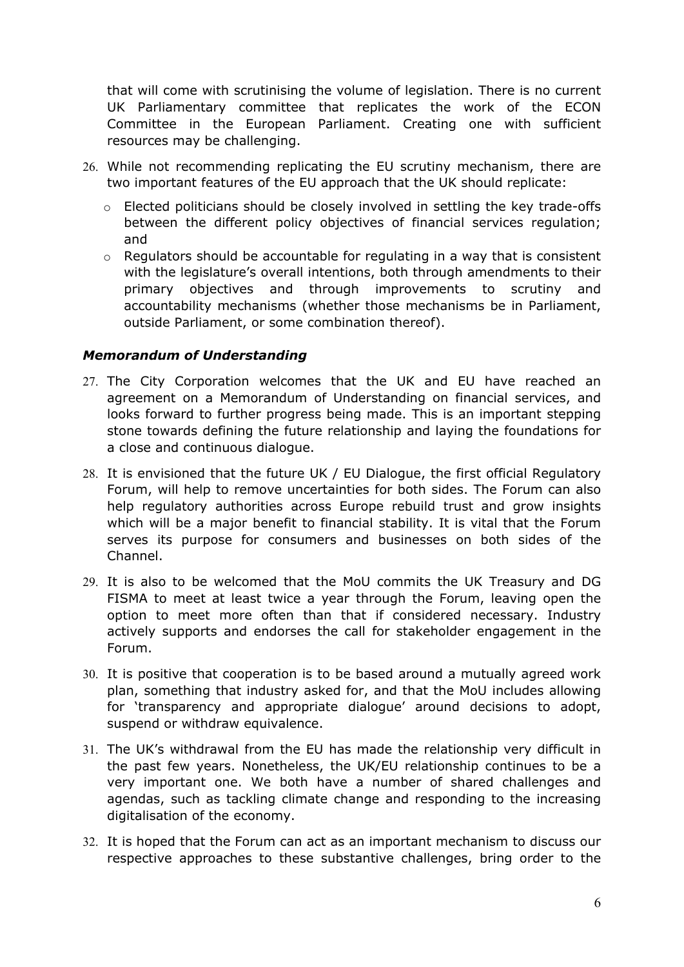that will come with scrutinising the volume of legislation. There is no current UK Parliamentary committee that replicates the work of the ECON Committee in the European Parliament. Creating one with sufficient resources may be challenging.

- 26. While not recommending replicating the EU scrutiny mechanism, there are two important features of the EU approach that the UK should replicate:
	- o Elected politicians should be closely involved in settling the key trade-offs between the different policy objectives of financial services regulation; and
	- o Regulators should be accountable for regulating in a way that is consistent with the legislature's overall intentions, both through amendments to their primary objectives and through improvements to scrutiny and accountability mechanisms (whether those mechanisms be in Parliament, outside Parliament, or some combination thereof).

### *Memorandum of Understanding*

- 27. The City Corporation welcomes that the UK and EU have reached an agreement on a Memorandum of Understanding on financial services, and looks forward to further progress being made. This is an important stepping stone towards defining the future relationship and laying the foundations for a close and continuous dialogue.
- 28. It is envisioned that the future UK / EU Dialogue, the first official Regulatory Forum, will help to remove uncertainties for both sides. The Forum can also help regulatory authorities across Europe rebuild trust and grow insights which will be a major benefit to financial stability. It is vital that the Forum serves its purpose for consumers and businesses on both sides of the Channel.
- 29. It is also to be welcomed that the MoU commits the UK Treasury and DG FISMA to meet at least twice a year through the Forum, leaving open the option to meet more often than that if considered necessary. Industry actively supports and endorses the call for stakeholder engagement in the Forum.
- 30. It is positive that cooperation is to be based around a mutually agreed work plan, something that industry asked for, and that the MoU includes allowing for 'transparency and appropriate dialogue' around decisions to adopt, suspend or withdraw equivalence.
- 31. The UK's withdrawal from the EU has made the relationship very difficult in the past few years. Nonetheless, the UK/EU relationship continues to be a very important one. We both have a number of shared challenges and agendas, such as tackling climate change and responding to the increasing digitalisation of the economy.
- 32. It is hoped that the Forum can act as an important mechanism to discuss our respective approaches to these substantive challenges, bring order to the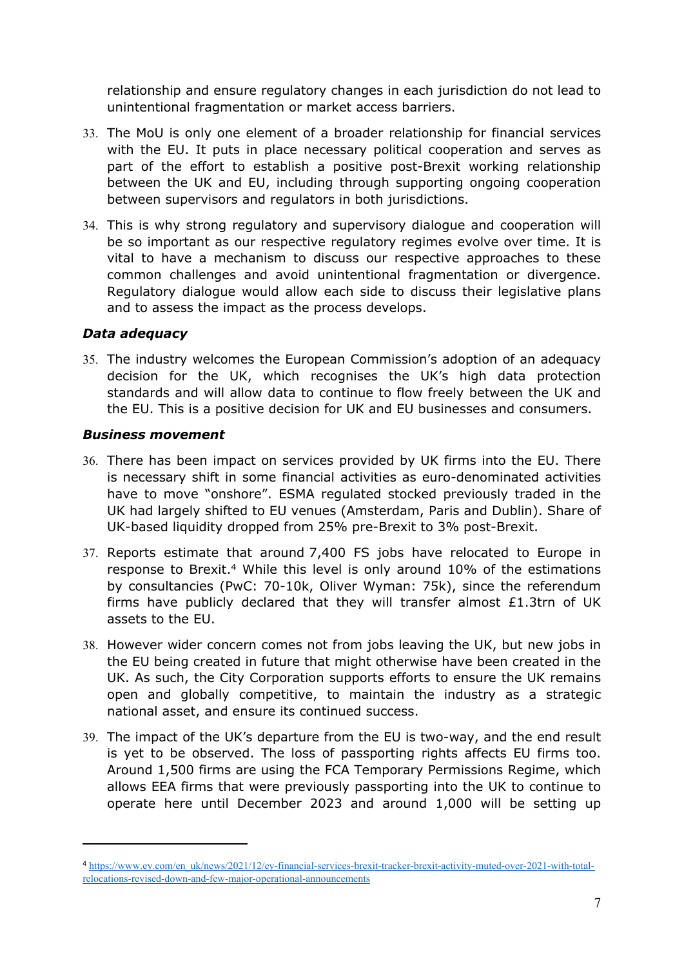relationship and ensure regulatory changes in each jurisdiction do not lead to unintentional fragmentation or market access barriers.

- 33. The MoU is only one element of a broader relationship for financial services with the EU. It puts in place necessary political cooperation and serves as part of the effort to establish a positive post-Brexit working relationship between the UK and EU, including through supporting ongoing cooperation between supervisors and regulators in both jurisdictions.
- 34. This is why strong regulatory and supervisory dialogue and cooperation will be so important as our respective regulatory regimes evolve over time. It is vital to have a mechanism to discuss our respective approaches to these common challenges and avoid unintentional fragmentation or divergence. Regulatory dialogue would allow each side to discuss their legislative plans and to assess the impact as the process develops.

## *Data adequacy*

35. The industry welcomes the European Commission's adoption of an adequacy decision for the UK, which recognises the UK's high data protection standards and will allow data to continue to flow freely between the UK and the EU. This is a positive decision for UK and EU businesses and consumers.

### *Business movement*

- 36. There has been impact on services provided by UK firms into the EU. There is necessary shift in some financial activities as euro-denominated activities have to move "onshore". ESMA regulated stocked previously traded in the UK had largely shifted to EU venues (Amsterdam, Paris and Dublin). Share of UK-based liquidity dropped from 25% pre-Brexit to 3% post-Brexit.
- 37. Reports estimate that around 7,400 FS jobs have relocated to Europe in response to Brexit.<sup>4</sup> While this level is only around 10% of the estimations by consultancies (PwC: 70-10k, Oliver Wyman: 75k), since the referendum firms have publicly declared that they will transfer almost £1.3trn of UK assets to the EU.
- 38. However wider concern comes not from jobs leaving the UK, but new jobs in the EU being created in future that might otherwise have been created in the UK. As such, the City Corporation supports efforts to ensure the UK remains open and globally competitive, to maintain the industry as a strategic national asset, and ensure its continued success.
- 39. The impact of the UK's departure from the EU is two-way, and the end result is yet to be observed. The loss of passporting rights affects EU firms too. Around 1,500 firms are using the FCA Temporary Permissions Regime, which allows EEA firms that were previously passporting into the UK to continue to operate here until December 2023 and around 1,000 will be setting up

<sup>4</sup> [https://www.ey.com/en\\_uk/news/2021/12/ey-financial-services-brexit-tracker-brexit-activity-muted-over-2021-with-total](https://www.ey.com/en_uk/news/2021/12/ey-financial-services-brexit-tracker-brexit-activity-muted-over-2021-with-total-relocations-revised-down-and-few-major-operational-announcements)[relocations-revised-down-and-few-major-operational-announcements](https://www.ey.com/en_uk/news/2021/12/ey-financial-services-brexit-tracker-brexit-activity-muted-over-2021-with-total-relocations-revised-down-and-few-major-operational-announcements)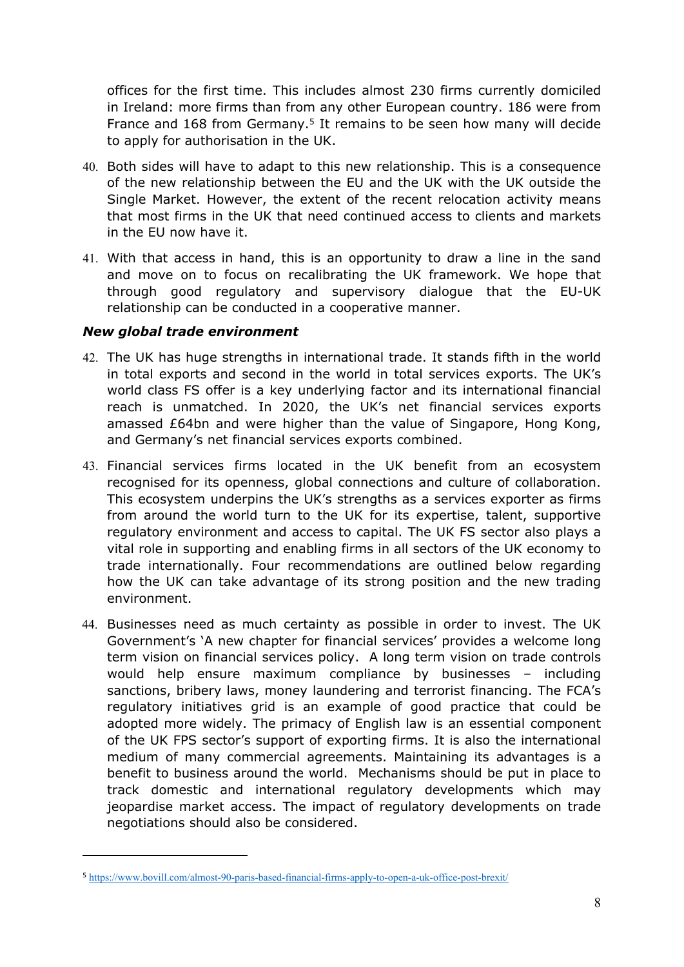offices for the first time. This includes almost 230 firms currently domiciled in Ireland: more firms than from any other European country. 186 were from France and 168 from Germany.<sup>5</sup> It remains to be seen how many will decide to apply for authorisation in the UK.

- 40. Both sides will have to adapt to this new relationship. This is a consequence of the new relationship between the EU and the UK with the UK outside the Single Market. However, the extent of the recent relocation activity means that most firms in the UK that need continued access to clients and markets in the EU now have it.
- 41. With that access in hand, this is an opportunity to draw a line in the sand and move on to focus on recalibrating the UK framework. We hope that through good regulatory and supervisory dialogue that the EU-UK relationship can be conducted in a cooperative manner.

#### *New global trade environment*

- 42. The UK has huge strengths in international trade. It stands fifth in the world in total exports and second in the world in total services exports. The UK's world class FS offer is a key underlying factor and its international financial reach is unmatched. In 2020, the UK's net financial services exports amassed £64bn and were higher than the value of Singapore, Hong Kong, and Germany's net financial services exports combined.
- 43. Financial services firms located in the UK benefit from an ecosystem recognised for its openness, global connections and culture of collaboration. This ecosystem underpins the UK's strengths as a services exporter as firms from around the world turn to the UK for its expertise, talent, supportive regulatory environment and access to capital. The UK FS sector also plays a vital role in supporting and enabling firms in all sectors of the UK economy to trade internationally. Four recommendations are outlined below regarding how the UK can take advantage of its strong position and the new trading environment.
- 44. Businesses need as much certainty as possible in order to invest. The UK Government's 'A new chapter for financial services' provides a welcome long term vision on financial services policy. A long term vision on trade controls would help ensure maximum compliance by businesses – including sanctions, bribery laws, money laundering and terrorist financing. The FCA's regulatory initiatives grid is an example of good practice that could be adopted more widely. The primacy of English law is an essential component of the UK FPS sector's support of exporting firms. It is also the international medium of many commercial agreements. Maintaining its advantages is a benefit to business around the world. Mechanisms should be put in place to track domestic and international regulatory developments which may jeopardise market access. The impact of regulatory developments on trade negotiations should also be considered.

<sup>5</sup> <https://www.bovill.com/almost-90-paris-based-financial-firms-apply-to-open-a-uk-office-post-brexit/>